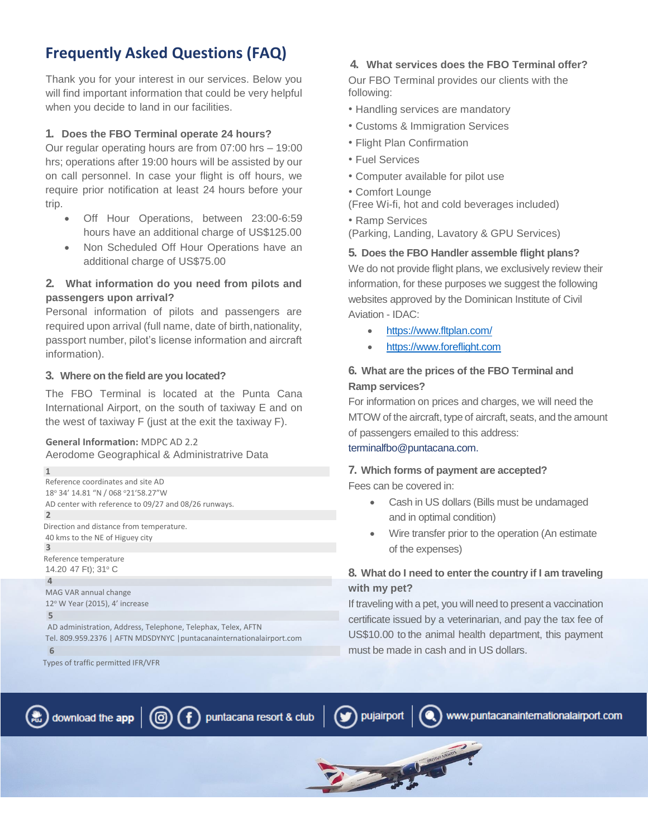# **Frequently Asked Questions (FAQ)**

Thank you for your interest in our services. Below you will find important information that could be very helpful when you decide to land in our facilities.

#### **1. Does the FBO Terminal operate 24 hours?**

Our regular operating hours are from 07:00 hrs – 19:00 hrs; operations after 19:00 hours will be assisted by our on call personnel. In case your flight is off hours, we require prior notification at least 24 hours before your trip.

- Off Hour Operations, between 23:00-6:59 hours have an additional charge of US\$125.00
- Non Scheduled Off Hour Operations have an additional charge of US\$75.00

### **2. What information do you need from pilots and passengers upon arrival?**

Personal information of pilots and passengers are required upon arrival (full name, date of birth, nationality, passport number, pilot's license information and aircraft information).

#### **3. Where on the field are you located?**

The FBO Terminal is located at the Punta Cana International Airport, on the south of taxiway E and on the west of taxiway F (just at the exit the taxiway F).

## **General Information:** MDPC AD 2.2

Aerodome Geographical & Administratrive Data

```
Reference coordinates and site AD 
18° 34' 14.81 "N / 068 ° 21' 58.27" W
AD center with reference to 09/27 and 08/26 runways.
Direction and distance from temperature. 
40 kms to the NE of Higuey city
Reference temperature
14.20 47 Ft); 31° C
MAG VAR annual change
12° W Year (2015), 4' increase
AD administration, Address, Telephone, Telephax, Telex, AFTN
Tel. 809.959.2376 | AFTN MDSDYNYC |puntacanainternationalairport.com 
3
4
5
 6
```
Types of traffic permitted IFR/VFR

**1**

**2**

### **4. What services does the FBO Terminal offer?**

Our FBO Terminal provides our clients with the following:

- Handling services are mandatory
- Customs & Immigration Services
- Flight Plan Confirmation
- Fuel Services
- Computer available for pilot use
- Comfort Lounge
- (Free Wi-fi, hot and cold beverages included)
- Ramp Services (Parking, Landing, Lavatory & GPU Services)

#### **5. Does the FBO Handler assemble flight plans?**

We do not provide flight plans, we exclusively review their information, for these purposes we suggest the following websites approved by the Dominican Institute of Civil Aviation - IDAC:

- <https://www.fltplan.com/>
- [https://www.foreflight.com](https://www.foreflight.com/)

### **6. What are the prices of the FBO Terminal and Ramp services?**

For information on prices and charges, we will need the MTOW of the aircraft, type of aircraft, seats, and the amount of passengers emailed to this address:

### [terminalfbo@puntacana.com.](mailto:terminalfbo@puntacana.com)

### **7. Which forms of payment are accepted?**

Fees can be covered in:

pujairport

**COMMERCIAL COMMERCIAL COMMERCIAL COMMERCIAL COMMERCIAL COMMERCIAL COMMERCIAL COMMERCIAL COMMERCIAL COMMERCIAL** 

- Cash in US dollars (Bills must be undamaged and in optimal condition)
- Wire transfer prior to the operation (An estimate of the expenses)

### **8. What do I need to enter the country if I am traveling with my pet?**

If traveling with a pet, you will need to present a vaccination certificate issued by a veterinarian, and pay the tax fee of US\$10.00 to the animal health department, this payment must be made in cash and in US dollars.



puntacana resort & club

www.puntacanainternationalairport.com